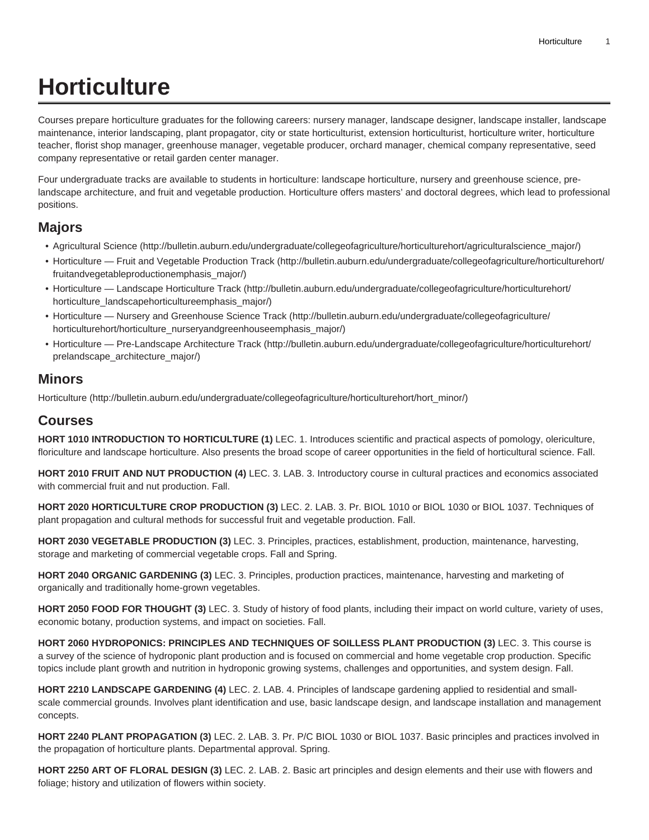## **Horticulture**

Courses prepare horticulture graduates for the following careers: nursery manager, landscape designer, landscape installer, landscape maintenance, interior landscaping, plant propagator, city or state horticulturist, extension horticulturist, horticulture writer, horticulture teacher, florist shop manager, greenhouse manager, vegetable producer, orchard manager, chemical company representative, seed company representative or retail garden center manager.

Four undergraduate tracks are available to students in horticulture: landscape horticulture, nursery and greenhouse science, prelandscape architecture, and fruit and vegetable production. Horticulture offers masters' and doctoral degrees, which lead to professional positions.

## **Majors**

- [Agricultural Science \(http://bulletin.auburn.edu/undergraduate/collegeofagriculture/horticulturehort/agriculturalscience\\_major/](http://bulletin.auburn.edu/undergraduate/collegeofagriculture/horticulturehort/agriculturalscience_major/))
- [Horticulture Fruit and Vegetable Production Track](http://bulletin.auburn.edu/undergraduate/collegeofagriculture/horticulturehort/fruitandvegetableproductionemphasis_major/) ([http://bulletin.auburn.edu/undergraduate/collegeofagriculture/horticulturehort/](http://bulletin.auburn.edu/undergraduate/collegeofagriculture/horticulturehort/fruitandvegetableproductionemphasis_major/) [fruitandvegetableproductionemphasis\\_major/\)](http://bulletin.auburn.edu/undergraduate/collegeofagriculture/horticulturehort/fruitandvegetableproductionemphasis_major/)
- [Horticulture Landscape Horticulture Track \(http://bulletin.auburn.edu/undergraduate/collegeofagriculture/horticulturehort/](http://bulletin.auburn.edu/undergraduate/collegeofagriculture/horticulturehort/horticulture_landscapehorticultureemphasis_major/) [horticulture\\_landscapehorticultureemphasis\\_major/\)](http://bulletin.auburn.edu/undergraduate/collegeofagriculture/horticulturehort/horticulture_landscapehorticultureemphasis_major/)
- [Horticulture Nursery and Greenhouse Science Track \(http://bulletin.auburn.edu/undergraduate/collegeofagriculture/](http://bulletin.auburn.edu/undergraduate/collegeofagriculture/horticulturehort/horticulture_nurseryandgreenhouseemphasis_major/) [horticulturehort/horticulture\\_nurseryandgreenhouseemphasis\\_major/](http://bulletin.auburn.edu/undergraduate/collegeofagriculture/horticulturehort/horticulture_nurseryandgreenhouseemphasis_major/))
- [Horticulture Pre-Landscape Architecture Track \(http://bulletin.auburn.edu/undergraduate/collegeofagriculture/horticulturehort/](http://bulletin.auburn.edu/undergraduate/collegeofagriculture/horticulturehort/prelandscape_architecture_major/) [prelandscape\\_architecture\\_major/](http://bulletin.auburn.edu/undergraduate/collegeofagriculture/horticulturehort/prelandscape_architecture_major/))

## **Minors**

[Horticulture](http://bulletin.auburn.edu/undergraduate/collegeofagriculture/horticulturehort/hort_minor/) ([http://bulletin.auburn.edu/undergraduate/collegeofagriculture/horticulturehort/hort\\_minor/\)](http://bulletin.auburn.edu/undergraduate/collegeofagriculture/horticulturehort/hort_minor/)

## **Courses**

**HORT 1010 INTRODUCTION TO HORTICULTURE (1)** LEC. 1. Introduces scientific and practical aspects of pomology, olericulture, floriculture and landscape horticulture. Also presents the broad scope of career opportunities in the field of horticultural science. Fall.

**HORT 2010 FRUIT AND NUT PRODUCTION (4)** LEC. 3. LAB. 3. Introductory course in cultural practices and economics associated with commercial fruit and nut production. Fall.

**HORT 2020 HORTICULTURE CROP PRODUCTION (3)** LEC. 2. LAB. 3. Pr. BIOL 1010 or BIOL 1030 or BIOL 1037. Techniques of plant propagation and cultural methods for successful fruit and vegetable production. Fall.

**HORT 2030 VEGETABLE PRODUCTION (3)** LEC. 3. Principles, practices, establishment, production, maintenance, harvesting, storage and marketing of commercial vegetable crops. Fall and Spring.

**HORT 2040 ORGANIC GARDENING (3)** LEC. 3. Principles, production practices, maintenance, harvesting and marketing of organically and traditionally home-grown vegetables.

**HORT 2050 FOOD FOR THOUGHT (3)** LEC. 3. Study of history of food plants, including their impact on world culture, variety of uses, economic botany, production systems, and impact on societies. Fall.

**HORT 2060 HYDROPONICS: PRINCIPLES AND TECHNIQUES OF SOILLESS PLANT PRODUCTION (3)** LEC. 3. This course is a survey of the science of hydroponic plant production and is focused on commercial and home vegetable crop production. Specific topics include plant growth and nutrition in hydroponic growing systems, challenges and opportunities, and system design. Fall.

**HORT 2210 LANDSCAPE GARDENING (4)** LEC. 2. LAB. 4. Principles of landscape gardening applied to residential and smallscale commercial grounds. Involves plant identification and use, basic landscape design, and landscape installation and management concepts.

**HORT 2240 PLANT PROPAGATION (3)** LEC. 2. LAB. 3. Pr. P/C BIOL 1030 or BIOL 1037. Basic principles and practices involved in the propagation of horticulture plants. Departmental approval. Spring.

**HORT 2250 ART OF FLORAL DESIGN (3)** LEC. 2. LAB. 2. Basic art principles and design elements and their use with flowers and foliage; history and utilization of flowers within society.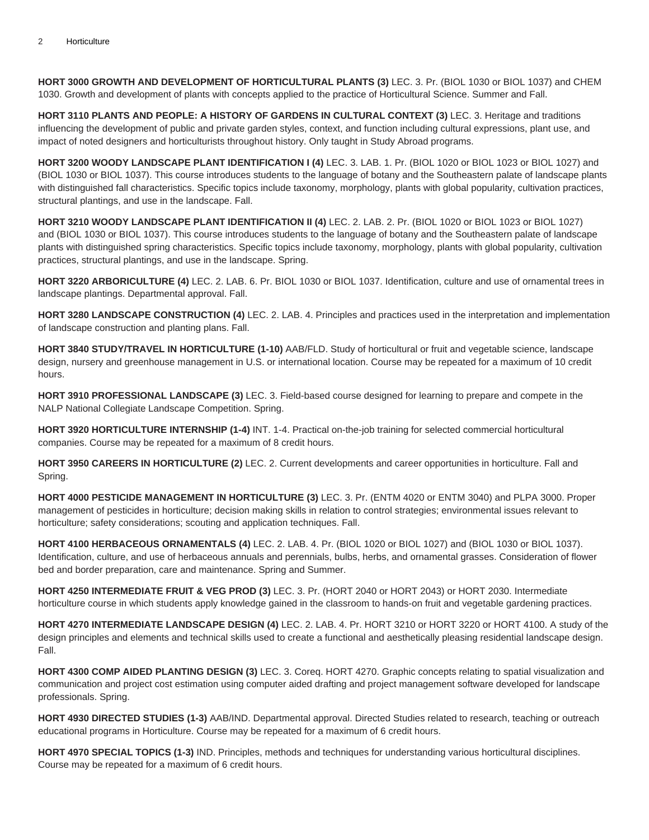**HORT 3000 GROWTH AND DEVELOPMENT OF HORTICULTURAL PLANTS (3)** LEC. 3. Pr. (BIOL 1030 or BIOL 1037) and CHEM 1030. Growth and development of plants with concepts applied to the practice of Horticultural Science. Summer and Fall.

**HORT 3110 PLANTS AND PEOPLE: A HISTORY OF GARDENS IN CULTURAL CONTEXT (3)** LEC. 3. Heritage and traditions influencing the development of public and private garden styles, context, and function including cultural expressions, plant use, and impact of noted designers and horticulturists throughout history. Only taught in Study Abroad programs.

**HORT 3200 WOODY LANDSCAPE PLANT IDENTIFICATION I (4)** LEC. 3. LAB. 1. Pr. (BIOL 1020 or BIOL 1023 or BIOL 1027) and (BIOL 1030 or BIOL 1037). This course introduces students to the language of botany and the Southeastern palate of landscape plants with distinguished fall characteristics. Specific topics include taxonomy, morphology, plants with global popularity, cultivation practices, structural plantings, and use in the landscape. Fall.

**HORT 3210 WOODY LANDSCAPE PLANT IDENTIFICATION II (4)** LEC. 2. LAB. 2. Pr. (BIOL 1020 or BIOL 1023 or BIOL 1027) and (BIOL 1030 or BIOL 1037). This course introduces students to the language of botany and the Southeastern palate of landscape plants with distinguished spring characteristics. Specific topics include taxonomy, morphology, plants with global popularity, cultivation practices, structural plantings, and use in the landscape. Spring.

**HORT 3220 ARBORICULTURE (4)** LEC. 2. LAB. 6. Pr. BIOL 1030 or BIOL 1037. Identification, culture and use of ornamental trees in landscape plantings. Departmental approval. Fall.

**HORT 3280 LANDSCAPE CONSTRUCTION (4)** LEC. 2. LAB. 4. Principles and practices used in the interpretation and implementation of landscape construction and planting plans. Fall.

**HORT 3840 STUDY/TRAVEL IN HORTICULTURE (1-10)** AAB/FLD. Study of horticultural or fruit and vegetable science, landscape design, nursery and greenhouse management in U.S. or international location. Course may be repeated for a maximum of 10 credit hours.

**HORT 3910 PROFESSIONAL LANDSCAPE (3)** LEC. 3. Field-based course designed for learning to prepare and compete in the NALP National Collegiate Landscape Competition. Spring.

**HORT 3920 HORTICULTURE INTERNSHIP (1-4)** INT. 1-4. Practical on-the-job training for selected commercial horticultural companies. Course may be repeated for a maximum of 8 credit hours.

**HORT 3950 CAREERS IN HORTICULTURE (2)** LEC. 2. Current developments and career opportunities in horticulture. Fall and Spring.

**HORT 4000 PESTICIDE MANAGEMENT IN HORTICULTURE (3)** LEC. 3. Pr. (ENTM 4020 or ENTM 3040) and PLPA 3000. Proper management of pesticides in horticulture; decision making skills in relation to control strategies; environmental issues relevant to horticulture; safety considerations; scouting and application techniques. Fall.

**HORT 4100 HERBACEOUS ORNAMENTALS (4)** LEC. 2. LAB. 4. Pr. (BIOL 1020 or BIOL 1027) and (BIOL 1030 or BIOL 1037). Identification, culture, and use of herbaceous annuals and perennials, bulbs, herbs, and ornamental grasses. Consideration of flower bed and border preparation, care and maintenance. Spring and Summer.

**HORT 4250 INTERMEDIATE FRUIT & VEG PROD (3)** LEC. 3. Pr. (HORT 2040 or HORT 2043) or HORT 2030. Intermediate horticulture course in which students apply knowledge gained in the classroom to hands-on fruit and vegetable gardening practices.

**HORT 4270 INTERMEDIATE LANDSCAPE DESIGN (4)** LEC. 2. LAB. 4. Pr. HORT 3210 or HORT 3220 or HORT 4100. A study of the design principles and elements and technical skills used to create a functional and aesthetically pleasing residential landscape design. Fall.

**HORT 4300 COMP AIDED PLANTING DESIGN (3)** LEC. 3. Coreq. HORT 4270. Graphic concepts relating to spatial visualization and communication and project cost estimation using computer aided drafting and project management software developed for landscape professionals. Spring.

**HORT 4930 DIRECTED STUDIES (1-3)** AAB/IND. Departmental approval. Directed Studies related to research, teaching or outreach educational programs in Horticulture. Course may be repeated for a maximum of 6 credit hours.

**HORT 4970 SPECIAL TOPICS (1-3)** IND. Principles, methods and techniques for understanding various horticultural disciplines. Course may be repeated for a maximum of 6 credit hours.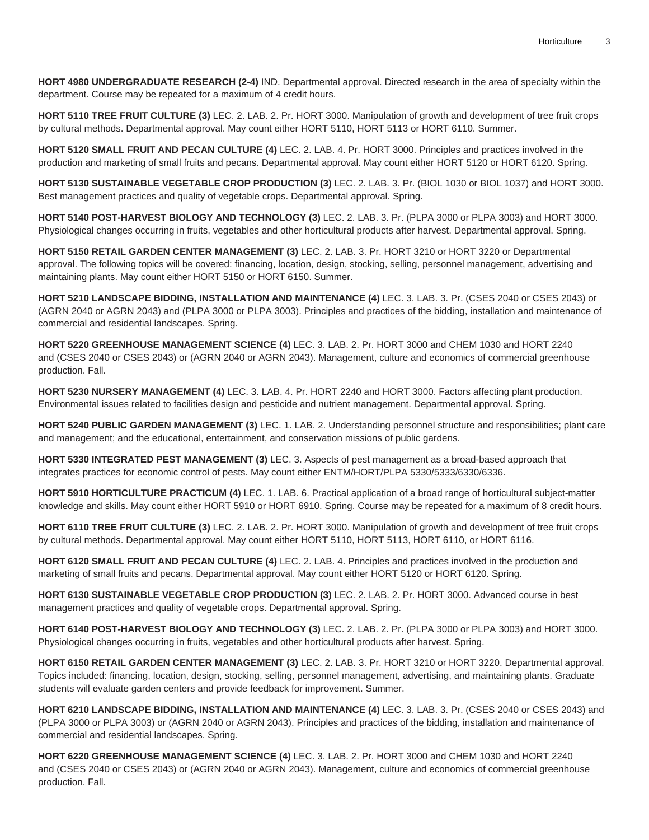**HORT 4980 UNDERGRADUATE RESEARCH (2-4)** IND. Departmental approval. Directed research in the area of specialty within the department. Course may be repeated for a maximum of 4 credit hours.

**HORT 5110 TREE FRUIT CULTURE (3)** LEC. 2. LAB. 2. Pr. HORT 3000. Manipulation of growth and development of tree fruit crops by cultural methods. Departmental approval. May count either HORT 5110, HORT 5113 or HORT 6110. Summer.

**HORT 5120 SMALL FRUIT AND PECAN CULTURE (4)** LEC. 2. LAB. 4. Pr. HORT 3000. Principles and practices involved in the production and marketing of small fruits and pecans. Departmental approval. May count either HORT 5120 or HORT 6120. Spring.

**HORT 5130 SUSTAINABLE VEGETABLE CROP PRODUCTION (3)** LEC. 2. LAB. 3. Pr. (BIOL 1030 or BIOL 1037) and HORT 3000. Best management practices and quality of vegetable crops. Departmental approval. Spring.

**HORT 5140 POST-HARVEST BIOLOGY AND TECHNOLOGY (3)** LEC. 2. LAB. 3. Pr. (PLPA 3000 or PLPA 3003) and HORT 3000. Physiological changes occurring in fruits, vegetables and other horticultural products after harvest. Departmental approval. Spring.

**HORT 5150 RETAIL GARDEN CENTER MANAGEMENT (3)** LEC. 2. LAB. 3. Pr. HORT 3210 or HORT 3220 or Departmental approval. The following topics will be covered: financing, location, design, stocking, selling, personnel management, advertising and maintaining plants. May count either HORT 5150 or HORT 6150. Summer.

**HORT 5210 LANDSCAPE BIDDING, INSTALLATION AND MAINTENANCE (4)** LEC. 3. LAB. 3. Pr. (CSES 2040 or CSES 2043) or (AGRN 2040 or AGRN 2043) and (PLPA 3000 or PLPA 3003). Principles and practices of the bidding, installation and maintenance of commercial and residential landscapes. Spring.

**HORT 5220 GREENHOUSE MANAGEMENT SCIENCE (4)** LEC. 3. LAB. 2. Pr. HORT 3000 and CHEM 1030 and HORT 2240 and (CSES 2040 or CSES 2043) or (AGRN 2040 or AGRN 2043). Management, culture and economics of commercial greenhouse production. Fall.

**HORT 5230 NURSERY MANAGEMENT (4)** LEC. 3. LAB. 4. Pr. HORT 2240 and HORT 3000. Factors affecting plant production. Environmental issues related to facilities design and pesticide and nutrient management. Departmental approval. Spring.

**HORT 5240 PUBLIC GARDEN MANAGEMENT (3)** LEC. 1. LAB. 2. Understanding personnel structure and responsibilities; plant care and management; and the educational, entertainment, and conservation missions of public gardens.

**HORT 5330 INTEGRATED PEST MANAGEMENT (3)** LEC. 3. Aspects of pest management as a broad-based approach that integrates practices for economic control of pests. May count either ENTM/HORT/PLPA 5330/5333/6330/6336.

**HORT 5910 HORTICULTURE PRACTICUM (4)** LEC. 1. LAB. 6. Practical application of a broad range of horticultural subject-matter knowledge and skills. May count either HORT 5910 or HORT 6910. Spring. Course may be repeated for a maximum of 8 credit hours.

**HORT 6110 TREE FRUIT CULTURE (3)** LEC. 2. LAB. 2. Pr. HORT 3000. Manipulation of growth and development of tree fruit crops by cultural methods. Departmental approval. May count either HORT 5110, HORT 5113, HORT 6110, or HORT 6116.

**HORT 6120 SMALL FRUIT AND PECAN CULTURE (4)** LEC. 2. LAB. 4. Principles and practices involved in the production and marketing of small fruits and pecans. Departmental approval. May count either HORT 5120 or HORT 6120. Spring.

**HORT 6130 SUSTAINABLE VEGETABLE CROP PRODUCTION (3)** LEC. 2. LAB. 2. Pr. HORT 3000. Advanced course in best management practices and quality of vegetable crops. Departmental approval. Spring.

**HORT 6140 POST-HARVEST BIOLOGY AND TECHNOLOGY (3)** LEC. 2. LAB. 2. Pr. (PLPA 3000 or PLPA 3003) and HORT 3000. Physiological changes occurring in fruits, vegetables and other horticultural products after harvest. Spring.

**HORT 6150 RETAIL GARDEN CENTER MANAGEMENT (3)** LEC. 2. LAB. 3. Pr. HORT 3210 or HORT 3220. Departmental approval. Topics included: financing, location, design, stocking, selling, personnel management, advertising, and maintaining plants. Graduate students will evaluate garden centers and provide feedback for improvement. Summer.

**HORT 6210 LANDSCAPE BIDDING, INSTALLATION AND MAINTENANCE (4)** LEC. 3. LAB. 3. Pr. (CSES 2040 or CSES 2043) and (PLPA 3000 or PLPA 3003) or (AGRN 2040 or AGRN 2043). Principles and practices of the bidding, installation and maintenance of commercial and residential landscapes. Spring.

**HORT 6220 GREENHOUSE MANAGEMENT SCIENCE (4)** LEC. 3. LAB. 2. Pr. HORT 3000 and CHEM 1030 and HORT 2240 and (CSES 2040 or CSES 2043) or (AGRN 2040 or AGRN 2043). Management, culture and economics of commercial greenhouse production. Fall.